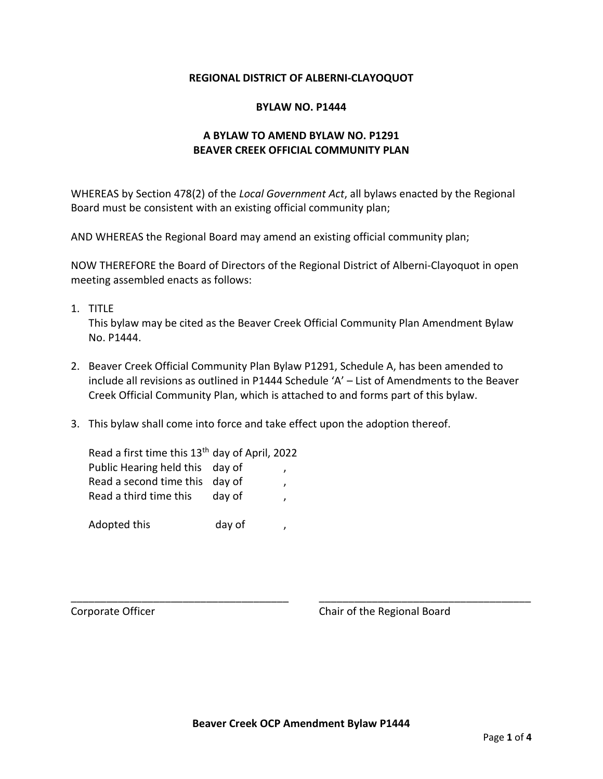### **REGIONAL DISTRICT OF ALBERNI-CLAYOQUOT**

#### **BYLAW NO. P1444**

## **A BYLAW TO AMEND BYLAW NO. P1291 BEAVER CREEK OFFICIAL COMMUNITY PLAN**

WHEREAS by Section 478(2) of the *Local Government Act*, all bylaws enacted by the Regional Board must be consistent with an existing official community plan;

AND WHEREAS the Regional Board may amend an existing official community plan;

NOW THEREFORE the Board of Directors of the Regional District of Alberni-Clayoquot in open meeting assembled enacts as follows:

1. TITLE

This bylaw may be cited as the Beaver Creek Official Community Plan Amendment Bylaw No. P1444.

- 2. Beaver Creek Official Community Plan Bylaw P1291, Schedule A, has been amended to include all revisions as outlined in P1444 Schedule 'A' – List of Amendments to the Beaver Creek Official Community Plan, which is attached to and forms part of this bylaw.
- 3. This bylaw shall come into force and take effect upon the adoption thereof.

| Read a first time this 13 <sup>th</sup> day of April, 2022 |        |  |
|------------------------------------------------------------|--------|--|
| Public Hearing held this day of                            |        |  |
| Read a second time this day of                             |        |  |
| Read a third time this                                     | day of |  |
|                                                            |        |  |
| Adopted this                                               | day of |  |

Corporate Officer Corporate Officer Corporate Officer

\_\_\_\_\_\_\_\_\_\_\_\_\_\_\_\_\_\_\_\_\_\_\_\_\_\_\_\_\_\_\_\_\_\_\_\_\_ \_\_\_\_\_\_\_\_\_\_\_\_\_\_\_\_\_\_\_\_\_\_\_\_\_\_\_\_\_\_\_\_\_\_\_\_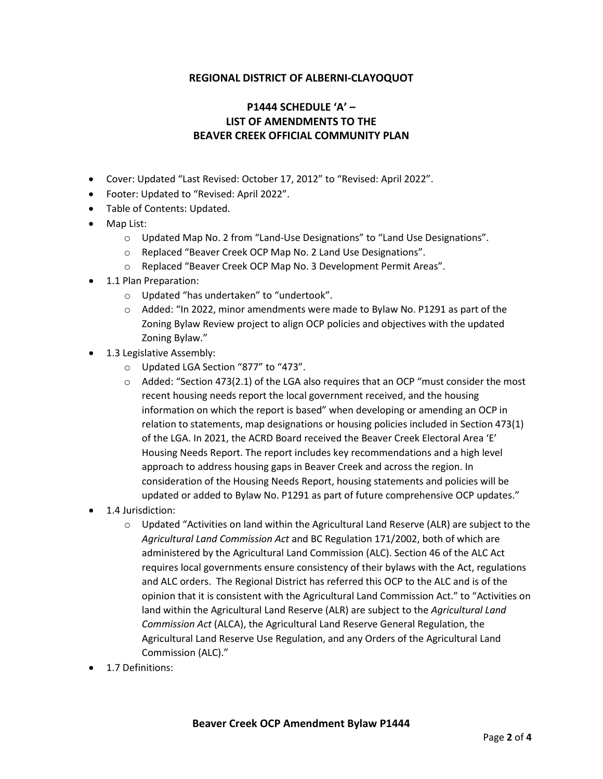## **REGIONAL DISTRICT OF ALBERNI-CLAYOQUOT**

# **P1444 SCHEDULE 'A' – LIST OF AMENDMENTS TO THE BEAVER CREEK OFFICIAL COMMUNITY PLAN**

- Cover: Updated "Last Revised: October 17, 2012" to "Revised: April 2022".
- Footer: Updated to "Revised: April 2022".
- Table of Contents: Updated.
- Map List:
	- o Updated Map No. 2 from "Land-Use Designations" to "Land Use Designations".
	- o Replaced "Beaver Creek OCP Map No. 2 Land Use Designations".
	- o Replaced "Beaver Creek OCP Map No. 3 Development Permit Areas".
- 1.1 Plan Preparation:
	- o Updated "has undertaken" to "undertook".
	- $\circ$  Added: "In 2022, minor amendments were made to Bylaw No. P1291 as part of the Zoning Bylaw Review project to align OCP policies and objectives with the updated Zoning Bylaw."
- 1.3 Legislative Assembly:
	- o Updated LGA Section "877" to "473".
	- $\circ$  Added: "Section 473(2.1) of the LGA also requires that an OCP "must consider the most recent housing needs report the local government received, and the housing information on which the report is based" when developing or amending an OCP in relation to statements, map designations or housing policies included in Section 473(1) of the LGA. In 2021, the ACRD Board received the Beaver Creek Electoral Area 'E' Housing Needs Report. The report includes key recommendations and a high level approach to address housing gaps in Beaver Creek and across the region. In consideration of the Housing Needs Report, housing statements and policies will be updated or added to Bylaw No. P1291 as part of future comprehensive OCP updates."
- 1.4 Jurisdiction:
	- o Updated "Activities on land within the Agricultural Land Reserve (ALR) are subject to the *Agricultural Land Commission Act* and BC Regulation 171/2002, both of which are administered by the Agricultural Land Commission (ALC). Section 46 of the ALC Act requires local governments ensure consistency of their bylaws with the Act, regulations and ALC orders. The Regional District has referred this OCP to the ALC and is of the opinion that it is consistent with the Agricultural Land Commission Act." to "Activities on land within the Agricultural Land Reserve (ALR) are subject to the *Agricultural Land Commission Act* (ALCA), the Agricultural Land Reserve General Regulation, the Agricultural Land Reserve Use Regulation, and any Orders of the Agricultural Land Commission (ALC)."
- 1.7 Definitions: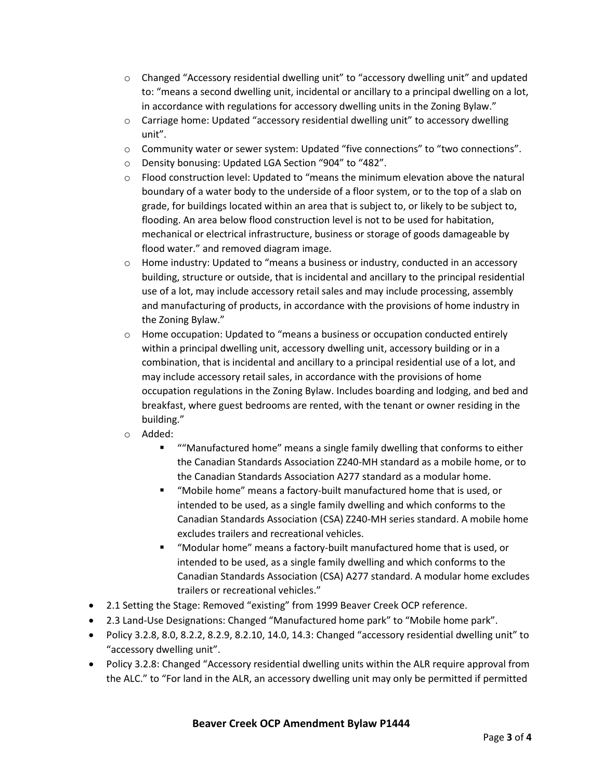- o Changed "Accessory residential dwelling unit" to "accessory dwelling unit" and updated to: "means a second dwelling unit, incidental or ancillary to a principal dwelling on a lot, in accordance with regulations for accessory dwelling units in the Zoning Bylaw."
- $\circ$  Carriage home: Updated "accessory residential dwelling unit" to accessory dwelling unit".
- o Community water or sewer system: Updated "five connections" to "two connections".
- o Density bonusing: Updated LGA Section "904" to "482".
- $\circ$  Flood construction level: Updated to "means the minimum elevation above the natural boundary of a water body to the underside of a floor system, or to the top of a slab on grade, for buildings located within an area that is subject to, or likely to be subject to, flooding. An area below flood construction level is not to be used for habitation, mechanical or electrical infrastructure, business or storage of goods damageable by flood water." and removed diagram image.
- $\circ$  Home industry: Updated to "means a business or industry, conducted in an accessory building, structure or outside, that is incidental and ancillary to the principal residential use of a lot, may include accessory retail sales and may include processing, assembly and manufacturing of products, in accordance with the provisions of home industry in the Zoning Bylaw."
- $\circ$  Home occupation: Updated to "means a business or occupation conducted entirely within a principal dwelling unit, accessory dwelling unit, accessory building or in a combination, that is incidental and ancillary to a principal residential use of a lot, and may include accessory retail sales, in accordance with the provisions of home occupation regulations in the Zoning Bylaw. Includes boarding and lodging, and bed and breakfast, where guest bedrooms are rented, with the tenant or owner residing in the building."
- o Added:
	- ""Manufactured home" means a single family dwelling that conforms to either the Canadian Standards Association Z240-MH standard as a mobile home, or to the Canadian Standards Association A277 standard as a modular home.
	- "Mobile home" means a factory-built manufactured home that is used, or intended to be used, as a single family dwelling and which conforms to the Canadian Standards Association (CSA) Z240-MH series standard. A mobile home excludes trailers and recreational vehicles.
	- "Modular home" means a factory-built manufactured home that is used, or intended to be used, as a single family dwelling and which conforms to the Canadian Standards Association (CSA) A277 standard. A modular home excludes trailers or recreational vehicles."
- 2.1 Setting the Stage: Removed "existing" from 1999 Beaver Creek OCP reference.
- 2.3 Land-Use Designations: Changed "Manufactured home park" to "Mobile home park".
- Policy 3.2.8, 8.0, 8.2.2, 8.2.9, 8.2.10, 14.0, 14.3: Changed "accessory residential dwelling unit" to "accessory dwelling unit".
- Policy 3.2.8: Changed "Accessory residential dwelling units within the ALR require approval from the ALC." to "For land in the ALR, an accessory dwelling unit may only be permitted if permitted